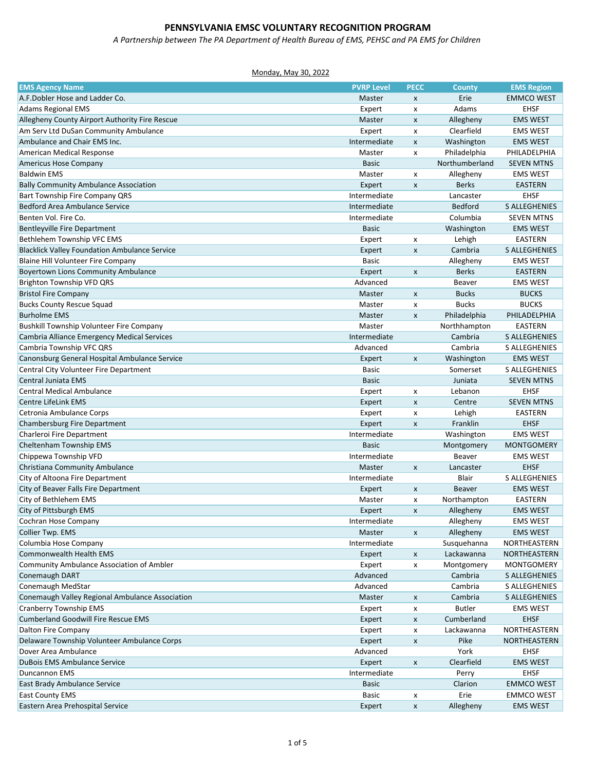*A Partnership between The PA Department of Health Bureau of EMS, PEHSC and PA EMS for Children*

| <b>EMS Agency Name</b>                               | <b>PVRP Level</b> | <b>PECC</b>               | <b>County</b>  | <b>EMS Region</b>    |
|------------------------------------------------------|-------------------|---------------------------|----------------|----------------------|
| A.F.Dobler Hose and Ladder Co.                       | Master            | $\mathsf{x}$              | Erie           | <b>EMMCO WEST</b>    |
| <b>Adams Regional EMS</b>                            | Expert            | X                         | Adams          | <b>EHSF</b>          |
| Allegheny County Airport Authority Fire Rescue       | Master            | $\pmb{\mathsf{x}}$        | Allegheny      | <b>EMS WEST</b>      |
| Am Serv Ltd DuSan Community Ambulance                | Expert            | X                         | Clearfield     | <b>EMS WEST</b>      |
| Ambulance and Chair EMS Inc.                         | Intermediate      | $\pmb{\mathsf{x}}$        | Washington     | <b>EMS WEST</b>      |
| American Medical Response                            | Master            | $\pmb{\times}$            | Philadelphia   | PHILADELPHIA         |
| Americus Hose Company                                | <b>Basic</b>      |                           | Northumberland | <b>SEVEN MTNS</b>    |
| <b>Baldwin EMS</b>                                   | Master            | х                         | Allegheny      | <b>EMS WEST</b>      |
| <b>Bally Community Ambulance Association</b>         | Expert            | $\pmb{\mathsf{x}}$        | <b>Berks</b>   | <b>EASTERN</b>       |
| Bart Township Fire Company QRS                       | Intermediate      |                           | Lancaster      | <b>EHSF</b>          |
| Bedford Area Ambulance Service                       | Intermediate      |                           | Bedford        | <b>S ALLEGHENIES</b> |
| Benten Vol. Fire Co.                                 | Intermediate      |                           | Columbia       | <b>SEVEN MTNS</b>    |
| Bentleyville Fire Department                         | <b>Basic</b>      |                           | Washington     | <b>EMS WEST</b>      |
| Bethlehem Township VFC EMS                           | Expert            | X                         | Lehigh         | EASTERN              |
| <b>Blacklick Valley Foundation Ambulance Service</b> | Expert            | $\pmb{\mathsf{x}}$        | Cambria        | <b>S ALLEGHENIES</b> |
| Blaine Hill Volunteer Fire Company                   | <b>Basic</b>      |                           | Allegheny      | <b>EMS WEST</b>      |
| <b>Boyertown Lions Community Ambulance</b>           | Expert            | $\pmb{\mathsf{x}}$        | <b>Berks</b>   | <b>EASTERN</b>       |
| Brighton Township VFD QRS                            | Advanced          |                           | Beaver         | <b>EMS WEST</b>      |
| <b>Bristol Fire Company</b>                          | Master            | X                         | <b>Bucks</b>   | <b>BUCKS</b>         |
| <b>Bucks County Rescue Squad</b>                     | Master            | X                         | <b>Bucks</b>   | <b>BUCKS</b>         |
| <b>Burholme EMS</b>                                  | Master            | $\pmb{\mathsf{x}}$        | Philadelphia   | PHILADELPHIA         |
| <b>Bushkill Township Volunteer Fire Company</b>      | Master            |                           | Northhampton   | EASTERN              |
| Cambria Alliance Emergency Medical Services          | Intermediate      |                           | Cambria        | <b>S ALLEGHENIES</b> |
| Cambria Township VFC QRS                             | Advanced          |                           | Cambria        | <b>S ALLEGHENIES</b> |
| Canonsburg General Hospital Ambulance Service        | Expert            | $\pmb{\mathsf{X}}$        | Washington     | <b>EMS WEST</b>      |
| Central City Volunteer Fire Department               | Basic             |                           | Somerset       | <b>S ALLEGHENIES</b> |
| Central Juniata EMS                                  | <b>Basic</b>      |                           | Juniata        | <b>SEVEN MTNS</b>    |
| <b>Central Medical Ambulance</b>                     | Expert            | X                         | Lebanon        | <b>EHSF</b>          |
| Centre LifeLink EMS                                  | Expert            | $\pmb{\chi}$              | Centre         | <b>SEVEN MTNS</b>    |
| Cetronia Ambulance Corps                             | Expert            | X                         | Lehigh         | EASTERN              |
| Chambersburg Fire Department                         | Expert            | $\pmb{\mathsf{x}}$        | Franklin       | <b>EHSF</b>          |
| Charleroi Fire Department                            | Intermediate      |                           | Washington     | <b>EMS WEST</b>      |
| Cheltenham Township EMS                              | <b>Basic</b>      |                           | Montgomery     | <b>MONTGOMERY</b>    |
| Chippewa Township VFD                                | Intermediate      |                           | Beaver         | <b>EMS WEST</b>      |
| Christiana Community Ambulance                       | Master            | $\pmb{\mathsf{x}}$        | Lancaster      | <b>EHSF</b>          |
| City of Altoona Fire Department                      | Intermediate      |                           | Blair          | <b>S ALLEGHENIES</b> |
| City of Beaver Falls Fire Department                 | Expert            | $\boldsymbol{\mathsf{x}}$ | Beaver         | <b>EMS WEST</b>      |
| City of Bethlehem EMS                                | Master            | x                         | Northampton    | EASTERN              |
| City of Pittsburgh EMS                               | Expert            | X                         | Allegheny      | <b>EMS WEST</b>      |
| Cochran Hose Company                                 | Intermediate      |                           | Allegheny      | <b>EMS WEST</b>      |
| Collier Twp. EMS                                     | Master            | X                         | Allegheny      | <b>EMS WEST</b>      |
| Columbia Hose Company                                | Intermediate      |                           | Susquehanna    | NORTHEASTERN         |
| <b>Commonwealth Health EMS</b>                       | Expert            | $\pmb{\mathsf{x}}$        | Lackawanna     | NORTHEASTERN         |
| Community Ambulance Association of Ambler            | Expert            | x                         | Montgomery     | MONTGOMERY           |
| Conemaugh DART                                       | Advanced          |                           | Cambria        | S ALLEGHENIES        |
| Conemaugh MedStar                                    | Advanced          |                           | Cambria        | S ALLEGHENIES        |
| Conemaugh Valley Regional Ambulance Association      | Master            | X                         | Cambria        | S ALLEGHENIES        |
| <b>Cranberry Township EMS</b>                        | Expert            | X                         | <b>Butler</b>  | <b>EMS WEST</b>      |
| <b>Cumberland Goodwill Fire Rescue EMS</b>           | Expert            | X                         | Cumberland     | <b>EHSF</b>          |
| Dalton Fire Company                                  | Expert            | X                         | Lackawanna     | NORTHEASTERN         |
| Delaware Township Volunteer Ambulance Corps          | Expert            | $\pmb{\mathsf{x}}$        | Pike           | NORTHEASTERN         |
| Dover Area Ambulance                                 | Advanced          |                           | York           | <b>EHSF</b>          |
| <b>DuBois EMS Ambulance Service</b>                  | Expert            | $\pmb{\mathsf{x}}$        | Clearfield     | <b>EMS WEST</b>      |
| Duncannon EMS                                        | Intermediate      |                           | Perry          | <b>EHSF</b>          |
| East Brady Ambulance Service                         | <b>Basic</b>      |                           | Clarion        | <b>EMMCO WEST</b>    |
| <b>East County EMS</b>                               | Basic             | X                         | Erie           | <b>EMMCO WEST</b>    |
| Eastern Area Prehospital Service                     | Expert            | $\pmb{\mathsf{x}}$        | Allegheny      | <b>EMS WEST</b>      |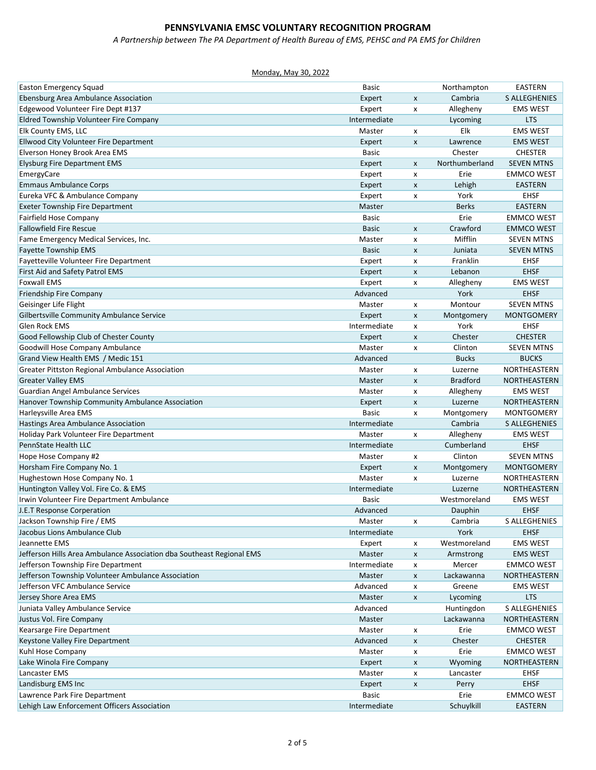*A Partnership between The PA Department of Health Bureau of EMS, PEHSC and PA EMS for Children*

| <b>Easton Emergency Squad</b>                                         | Basic        |                           | Northampton             | EASTERN                                 |
|-----------------------------------------------------------------------|--------------|---------------------------|-------------------------|-----------------------------------------|
| Ebensburg Area Ambulance Association                                  | Expert       | $\pmb{\times}$            | Cambria                 | <b>S ALLEGHENIES</b>                    |
| Edgewood Volunteer Fire Dept #137                                     | Expert       | $\pmb{\times}$            | Allegheny               | <b>EMS WEST</b>                         |
| Eldred Township Volunteer Fire Company                                | Intermediate |                           | Lycoming                | <b>LTS</b>                              |
| Elk County EMS, LLC                                                   | Master       | x                         | Elk                     | <b>EMS WEST</b>                         |
| Ellwood City Volunteer Fire Department                                | Expert       | X                         | Lawrence                | <b>EMS WEST</b>                         |
| Elverson Honey Brook Area EMS                                         | <b>Basic</b> |                           | Chester                 | <b>CHESTER</b>                          |
| <b>Elysburg Fire Department EMS</b>                                   | Expert       | $\pmb{\times}$            | Northumberland          | <b>SEVEN MTNS</b>                       |
| EmergyCare                                                            | Expert       | х                         | Erie                    | <b>EMMCO WEST</b>                       |
| <b>Emmaus Ambulance Corps</b>                                         | Expert       | $\pmb{\times}$            | Lehigh                  | <b>EASTERN</b>                          |
| Eureka VFC & Ambulance Company                                        | Expert       | X                         | York                    | <b>EHSF</b>                             |
| <b>Exeter Township Fire Department</b>                                | Master       |                           | <b>Berks</b>            | <b>EASTERN</b>                          |
| Fairfield Hose Company                                                | <b>Basic</b> |                           | Erie                    | <b>EMMCO WEST</b>                       |
| <b>Fallowfield Fire Rescue</b>                                        | <b>Basic</b> | $\pmb{\times}$            | Crawford                | <b>EMMCO WEST</b>                       |
| Fame Emergency Medical Services, Inc.                                 | Master       | X                         | Mifflin                 | <b>SEVEN MTNS</b>                       |
| Fayette Township EMS                                                  | <b>Basic</b> | $\pmb{\mathsf{x}}$        | Juniata                 | <b>SEVEN MTNS</b>                       |
| Fayetteville Volunteer Fire Department                                | Expert       | $\boldsymbol{\mathsf{x}}$ | Franklin                | <b>EHSF</b>                             |
| First Aid and Safety Patrol EMS                                       | Expert       | $\pmb{\chi}$              | Lebanon                 | <b>EHSF</b>                             |
| <b>Foxwall EMS</b>                                                    | Expert       | X                         | Allegheny               | <b>EMS WEST</b>                         |
| Friendship Fire Company                                               | Advanced     |                           | York                    | <b>EHSF</b>                             |
| Geisinger Life Flight                                                 | Master       | $\pmb{\times}$            | Montour                 | <b>SEVEN MTNS</b>                       |
| Gilbertsville Community Ambulance Service                             | Expert       | $\pmb{\times}$            | Montgomery              | <b>MONTGOMERY</b>                       |
| <b>Glen Rock EMS</b>                                                  | Intermediate | X                         | York                    | <b>EHSF</b>                             |
| Good Fellowship Club of Chester County                                | Expert       | $\boldsymbol{\mathsf{x}}$ | Chester                 | <b>CHESTER</b>                          |
| Goodwill Hose Company Ambulance                                       | Master       | X                         | Clinton                 | <b>SEVEN MTNS</b>                       |
| Grand View Health EMS / Medic 151                                     | Advanced     |                           | <b>Bucks</b>            | <b>BUCKS</b>                            |
| Greater Pittston Regional Ambulance Association                       | Master       | X                         | Luzerne                 | NORTHEASTERN                            |
| <b>Greater Valley EMS</b>                                             | Master       | $\boldsymbol{\mathsf{x}}$ | <b>Bradford</b>         | NORTHEASTERN                            |
| Guardian Angel Ambulance Services                                     | Master       | X                         | Allegheny               | <b>EMS WEST</b>                         |
| Hanover Township Community Ambulance Association                      | Expert       |                           |                         | NORTHEASTERN                            |
|                                                                       |              | $\boldsymbol{\mathsf{x}}$ | Luzerne                 |                                         |
| Harleysville Area EMS                                                 | <b>Basic</b> | x                         | Montgomery              | <b>MONTGOMERY</b>                       |
| Hastings Area Ambulance Association                                   | Intermediate |                           | Cambria                 | <b>S ALLEGHENIES</b><br><b>EMS WEST</b> |
| Holiday Park Volunteer Fire Department<br>PennState Health LLC        | Master       | x                         | Allegheny<br>Cumberland |                                         |
|                                                                       | Intermediate |                           |                         | <b>EHSF</b>                             |
| Hope Hose Company #2                                                  | Master       | $\pmb{\times}$            | Clinton                 | <b>SEVEN MTNS</b>                       |
| Horsham Fire Company No. 1                                            | Expert       | X                         | Montgomery              | <b>MONTGOMERY</b>                       |
| Hughestown Hose Company No. 1                                         | Master       | x                         | Luzerne                 | NORTHEASTERN                            |
| Huntington Valley Vol. Fire Co. & EMS                                 | Intermediate |                           | Luzerne                 | NORTHEASTERN                            |
| Irwin Volunteer Fire Department Ambulance                             | Basic        |                           | Westmoreland            | <b>EMS WEST</b>                         |
| J.E.T Response Corperation                                            | Advanced     |                           | Dauphin                 | <b>EHSF</b>                             |
| Jackson Township Fire / EMS                                           | Master       | X                         | Cambria                 | S ALLEGHENIES                           |
| Jacobus Lions Ambulance Club                                          | Intermediate |                           | York                    | <b>EHSF</b>                             |
| Jeannette EMS                                                         | Expert       | х                         | Westmoreland            | <b>EMS WEST</b>                         |
| Jefferson Hills Area Ambulance Association dba Southeast Regional EMS | Master       | $\pmb{\chi}$              | Armstrong               | <b>EMS WEST</b>                         |
| Jefferson Township Fire Department                                    | Intermediate | X                         | Mercer                  | <b>EMMCO WEST</b>                       |
| Jefferson Township Volunteer Ambulance Association                    | Master       | X                         | Lackawanna              | NORTHEASTERN                            |
| Jefferson VFC Ambulance Service                                       | Advanced     | X                         | Greene                  | <b>EMS WEST</b>                         |
| Jersey Shore Area EMS                                                 | Master       | X                         | Lycoming                | <b>LTS</b>                              |
| Juniata Valley Ambulance Service                                      | Advanced     |                           | Huntingdon              | S ALLEGHENIES                           |
| Justus Vol. Fire Company                                              | Master       |                           | Lackawanna              | NORTHEASTERN                            |
| Kearsarge Fire Department                                             | Master       | X                         | Erie                    | <b>EMMCO WEST</b>                       |
| Keystone Valley Fire Department                                       | Advanced     | $\pmb{\chi}$              | Chester                 | <b>CHESTER</b>                          |
| Kuhl Hose Company                                                     | Master       | $\pmb{\mathsf{x}}$        | Erie                    | <b>EMMCO WEST</b>                       |
| Lake Winola Fire Company                                              | Expert       | $\pmb{\mathsf{X}}$        | Wyoming                 | NORTHEASTERN                            |
| Lancaster EMS                                                         | Master       | $\pmb{\mathsf{x}}$        | Lancaster               | <b>EHSF</b>                             |
| Landisburg EMS Inc                                                    | Expert       | X                         | Perry                   | <b>EHSF</b>                             |
| Lawrence Park Fire Department                                         | Basic        |                           | Erie                    | <b>EMMCO WEST</b>                       |
| Lehigh Law Enforcement Officers Association                           | Intermediate |                           | Schuylkill              | <b>EASTERN</b>                          |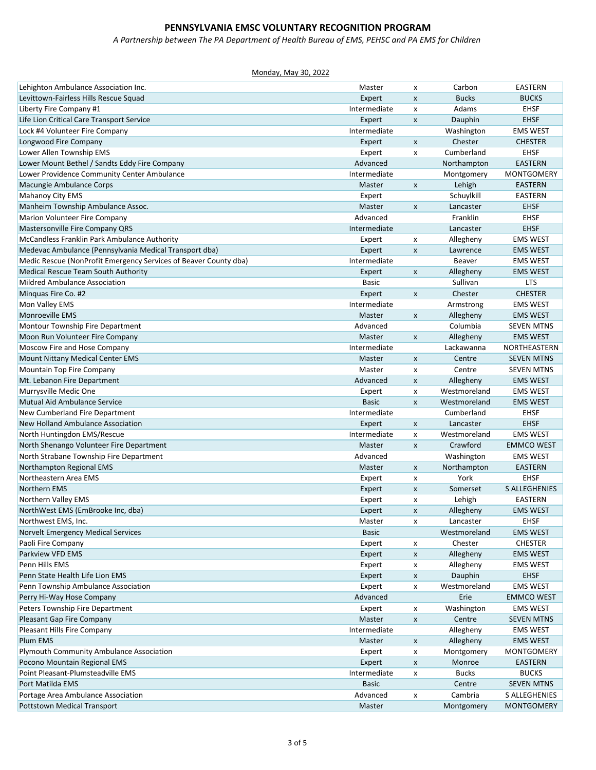*A Partnership between The PA Department of Health Bureau of EMS, PEHSC and PA EMS for Children*

| Lehighton Ambulance Association Inc.                             | Master       | x                         | Carbon        | <b>EASTERN</b>       |
|------------------------------------------------------------------|--------------|---------------------------|---------------|----------------------|
| Levittown-Fairless Hills Rescue Squad                            | Expert       | X                         | <b>Bucks</b>  | <b>BUCKS</b>         |
| Liberty Fire Company #1                                          | Intermediate | x                         | Adams         | <b>EHSF</b>          |
| Life Lion Critical Care Transport Service                        | Expert       | $\pmb{\times}$            | Dauphin       | <b>EHSF</b>          |
| Lock #4 Volunteer Fire Company                                   | Intermediate |                           | Washington    | <b>EMS WEST</b>      |
| Longwood Fire Company                                            | Expert       | $\pmb{\mathsf{x}}$        | Chester       | <b>CHESTER</b>       |
| Lower Allen Township EMS                                         | Expert       | X                         | Cumberland    | <b>EHSF</b>          |
| Lower Mount Bethel / Sandts Eddy Fire Company                    | Advanced     |                           | Northampton   | <b>EASTERN</b>       |
| Lower Providence Community Center Ambulance                      | Intermediate |                           | Montgomery    | <b>MONTGOMERY</b>    |
| Macungie Ambulance Corps                                         | Master       | $\boldsymbol{\mathsf{x}}$ | Lehigh        | <b>EASTERN</b>       |
| <b>Mahanoy City EMS</b>                                          | Expert       |                           | Schuylkill    | <b>EASTERN</b>       |
| Manheim Township Ambulance Assoc.                                | Master       | X                         | Lancaster     | <b>EHSF</b>          |
| Marion Volunteer Fire Company                                    | Advanced     |                           | Franklin      | <b>EHSF</b>          |
| Mastersonville Fire Company QRS                                  | Intermediate |                           | Lancaster     | <b>EHSF</b>          |
| McCandless Franklin Park Ambulance Authority                     | Expert       | x                         | Allegheny     | <b>EMS WEST</b>      |
| Medevac Ambulance (Pennsylvania Medical Transport dba)           | Expert       | $\pmb{\mathsf{x}}$        | Lawrence      | <b>EMS WEST</b>      |
| Medic Rescue (NonProfit Emergency Services of Beaver County dba) | Intermediate |                           | <b>Beaver</b> | <b>EMS WEST</b>      |
| Medical Rescue Team South Authority                              | Expert       | X                         | Allegheny     | <b>EMS WEST</b>      |
| <b>Mildred Ambulance Association</b>                             | <b>Basic</b> |                           | Sullivan      | LTS                  |
| Minguas Fire Co. #2                                              | Expert       | X                         | Chester       | <b>CHESTER</b>       |
| Mon Valley EMS                                                   | Intermediate |                           | Armstrong     | <b>EMS WEST</b>      |
| <b>Monroeville EMS</b>                                           | Master       | $\pmb{\mathsf{x}}$        | Allegheny     | <b>EMS WEST</b>      |
|                                                                  |              |                           |               | <b>SEVEN MTNS</b>    |
| Montour Township Fire Department                                 | Advanced     |                           | Columbia      |                      |
| Moon Run Volunteer Fire Company                                  | Master       | $\pmb{\mathsf{X}}$        | Allegheny     | <b>EMS WEST</b>      |
| Moscow Fire and Hose Company                                     | Intermediate |                           | Lackawanna    | NORTHEASTERN         |
| Mount Nittany Medical Center EMS                                 | Master       | X                         | Centre        | <b>SEVEN MTNS</b>    |
| Mountain Top Fire Company                                        | Master       | X                         | Centre        | <b>SEVEN MTNS</b>    |
| Mt. Lebanon Fire Department                                      | Advanced     | X                         | Allegheny     | <b>EMS WEST</b>      |
| Murrysville Medic One                                            | Expert       | X                         | Westmoreland  | <b>EMS WEST</b>      |
| Mutual Aid Ambulance Service                                     | <b>Basic</b> | $\pmb{\times}$            | Westmoreland  | <b>EMS WEST</b>      |
| New Cumberland Fire Department                                   | Intermediate |                           | Cumberland    | <b>EHSF</b>          |
| New Holland Ambulance Association                                | Expert       | $\pmb{\mathsf{x}}$        | Lancaster     | <b>EHSF</b>          |
| North Huntingdon EMS/Rescue                                      | Intermediate | $\pmb{\times}$            | Westmoreland  | <b>EMS WEST</b>      |
| North Shenango Volunteer Fire Department                         | Master       | $\pmb{\times}$            | Crawford      | <b>EMMCO WEST</b>    |
| North Strabane Township Fire Department                          | Advanced     |                           | Washington    | <b>EMS WEST</b>      |
| Northampton Regional EMS                                         | Master       | X                         | Northampton   | <b>EASTERN</b>       |
| Northeastern Area EMS                                            | Expert       | X                         | York          | <b>EHSF</b>          |
| Northern EMS                                                     | Expert       | X                         | Somerset      | <b>S ALLEGHENIES</b> |
| Northern Valley EMS                                              | Expert       | X                         | Lehigh        | <b>EASTERN</b>       |
| NorthWest EMS (EmBrooke Inc, dba)                                | Expert       | X                         | Allegheny     | <b>EMS WEST</b>      |
| Northwest EMS, Inc.                                              | Master       | х                         | Lancaster     | EHSF                 |
| Norvelt Emergency Medical Services                               | <b>Basic</b> |                           | Westmoreland  | <b>EMS WEST</b>      |
| Paoli Fire Company                                               | Expert       | X                         | Chester       | <b>CHESTER</b>       |
| Parkview VFD EMS                                                 | Expert       | $\pmb{\mathsf{x}}$        | Allegheny     | <b>EMS WEST</b>      |
| Penn Hills EMS                                                   | Expert       | х                         | Allegheny     | <b>EMS WEST</b>      |
| Penn State Health Life Lion EMS                                  | Expert       | $\pmb{\mathsf{x}}$        | Dauphin       | <b>EHSF</b>          |
| Penn Township Ambulance Association                              | Expert       | X                         | Westmoreland  | <b>EMS WEST</b>      |
| Perry Hi-Way Hose Company                                        | Advanced     |                           | Erie          | <b>EMMCO WEST</b>    |
| Peters Township Fire Department                                  | Expert       | X                         | Washington    | <b>EMS WEST</b>      |
| Pleasant Gap Fire Company                                        | Master       | X                         | Centre        | <b>SEVEN MTNS</b>    |
| Pleasant Hills Fire Company                                      | Intermediate |                           | Allegheny     | <b>EMS WEST</b>      |
| Plum EMS                                                         | Master       | $\pmb{\mathsf{x}}$        | Allegheny     | <b>EMS WEST</b>      |
| Plymouth Community Ambulance Association                         | Expert       | х                         | Montgomery    | <b>MONTGOMERY</b>    |
| Pocono Mountain Regional EMS                                     | Expert       | $\pmb{\times}$            | Monroe        | <b>EASTERN</b>       |
| Point Pleasant-Plumsteadville EMS                                | Intermediate | X                         | <b>Bucks</b>  | <b>BUCKS</b>         |
| Port Matilda EMS                                                 | <b>Basic</b> |                           | Centre        | <b>SEVEN MTNS</b>    |
| Portage Area Ambulance Association                               | Advanced     | X                         | Cambria       | S ALLEGHENIES        |
| <b>Pottstown Medical Transport</b>                               | Master       |                           | Montgomery    | <b>MONTGOMERY</b>    |
|                                                                  |              |                           |               |                      |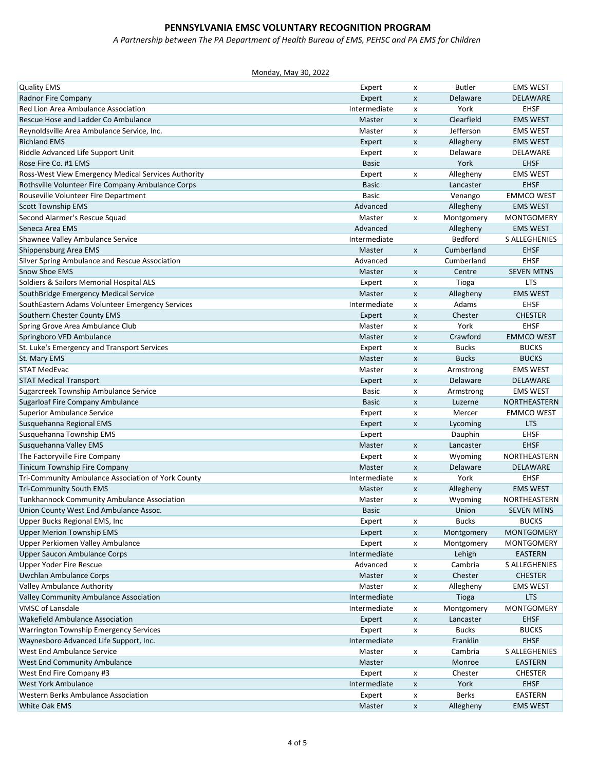*A Partnership between The PA Department of Health Bureau of EMS, PEHSC and PA EMS for Children*

| <b>Quality EMS</b>                                  | Expert       | x                         | <b>Butler</b> | <b>EMS WEST</b>      |
|-----------------------------------------------------|--------------|---------------------------|---------------|----------------------|
| Radnor Fire Company                                 | Expert       | X                         | Delaware      | DELAWARE             |
| Red Lion Area Ambulance Association                 | Intermediate | x                         | York          | <b>EHSF</b>          |
| Rescue Hose and Ladder Co Ambulance                 | Master       | X                         | Clearfield    | <b>EMS WEST</b>      |
| Reynoldsville Area Ambulance Service, Inc.          | Master       | X                         | Jefferson     | <b>EMS WEST</b>      |
| <b>Richland EMS</b>                                 | Expert       | $\pmb{\mathsf{x}}$        | Allegheny     | <b>EMS WEST</b>      |
| Riddle Advanced Life Support Unit                   | Expert       | x                         | Delaware      | DELAWARE             |
| Rose Fire Co. #1 EMS                                | <b>Basic</b> |                           | York          | <b>EHSF</b>          |
| Ross-West View Emergency Medical Services Authority | Expert       | X                         | Allegheny     | <b>EMS WEST</b>      |
| Rothsville Volunteer Fire Company Ambulance Corps   | <b>Basic</b> |                           | Lancaster     | <b>EHSF</b>          |
| Rouseville Volunteer Fire Department                | <b>Basic</b> |                           | Venango       | <b>EMMCO WEST</b>    |
| <b>Scott Township EMS</b>                           | Advanced     |                           | Allegheny     | <b>EMS WEST</b>      |
| Second Alarmer's Rescue Squad                       | Master       | X                         | Montgomery    | <b>MONTGOMERY</b>    |
| Seneca Area EMS                                     | Advanced     |                           | Allegheny     | <b>EMS WEST</b>      |
| Shawnee Valley Ambulance Service                    | Intermediate |                           | Bedford       | <b>S ALLEGHENIES</b> |
| Shippensburg Area EMS                               | Master       | $\pmb{\mathsf{x}}$        | Cumberland    | <b>EHSF</b>          |
| Silver Spring Ambulance and Rescue Association      | Advanced     |                           | Cumberland    | <b>EHSF</b>          |
| <b>Snow Shoe EMS</b>                                | Master       | $\boldsymbol{\mathsf{x}}$ | Centre        | <b>SEVEN MTNS</b>    |
| Soldiers & Sailors Memorial Hospital ALS            | Expert       | x                         | Tioga         | <b>LTS</b>           |
| SouthBridge Emergency Medical Service               | Master       | $\pmb{\mathsf{x}}$        | Allegheny     | <b>EMS WEST</b>      |
| SouthEastern Adams Volunteer Emergency Services     | Intermediate | x                         | Adams         | <b>EHSF</b>          |
| Southern Chester County EMS                         | Expert       | X                         | Chester       | <b>CHESTER</b>       |
| Spring Grove Area Ambulance Club                    | Master       | $\pmb{\times}$            | York          | <b>EHSF</b>          |
| Springboro VFD Ambulance                            | Master       | $\boldsymbol{\mathsf{x}}$ | Crawford      | <b>EMMCO WEST</b>    |
| St. Luke's Emergency and Transport Services         | Expert       | x                         | <b>Bucks</b>  | <b>BUCKS</b>         |
| St. Mary EMS                                        | Master       |                           | <b>Bucks</b>  | <b>BUCKS</b>         |
| <b>STAT MedEvac</b>                                 |              | X                         |               |                      |
|                                                     | Master       | X                         | Armstrong     | <b>EMS WEST</b>      |
| <b>STAT Medical Transport</b>                       | Expert       | $\pmb{\chi}$              | Delaware      | DELAWARE             |
| Sugarcreek Township Ambulance Service               | <b>Basic</b> | X                         | Armstrong     | <b>EMS WEST</b>      |
| Sugarloaf Fire Company Ambulance                    | <b>Basic</b> | $\pmb{\chi}$              | Luzerne       | NORTHEASTERN         |
| <b>Superior Ambulance Service</b>                   | Expert       | X                         | Mercer        | <b>EMMCO WEST</b>    |
| Susquehanna Regional EMS                            | Expert       | $\pmb{\mathsf{x}}$        | Lycoming      | <b>LTS</b>           |
| Susquehanna Township EMS                            | Expert       |                           | Dauphin       | <b>EHSF</b>          |
| Susquehanna Valley EMS                              | Master       | $\pmb{\chi}$              | Lancaster     | <b>EHSF</b>          |
| The Factoryville Fire Company                       | Expert       | х                         | Wyoming       | NORTHEASTERN         |
| Tinicum Township Fire Company                       | Master       | $\pmb{\mathsf{x}}$        | Delaware      | DELAWARE             |
| Tri-Community Ambulance Association of York County  | Intermediate | x                         | York          | <b>EHSF</b>          |
| <b>Tri-Community South EMS</b>                      | Master       | X                         | Allegheny     | <b>EMS WEST</b>      |
| <b>Tunkhannock Community Ambulance Association</b>  | Master       | X                         | Wyoming       | NORTHEASTERN         |
| Union County West End Ambulance Assoc.              | <b>Basic</b> |                           | Union         | <b>SEVEN MTNS</b>    |
| Upper Bucks Regional EMS, Inc                       | Expert       | х                         | Bucks         | <b>BUCKS</b>         |
| <b>Upper Merion Township EMS</b>                    | Expert       | $\pmb{\mathsf{x}}$        | Montgomery    | <b>MONTGOMERY</b>    |
| Upper Perkiomen Valley Ambulance                    | Expert       | х                         | Montgomery    | <b>MONTGOMERY</b>    |
| Upper Saucon Ambulance Corps                        | Intermediate |                           | Lehigh        | <b>EASTERN</b>       |
| Upper Yoder Fire Rescue                             | Advanced     | X                         | Cambria       | S ALLEGHENIES        |
| Uwchlan Ambulance Corps                             | Master       | $\pmb{\mathsf{X}}$        | Chester       | <b>CHESTER</b>       |
| <b>Valley Ambulance Authority</b>                   | Master       | X                         | Allegheny     | <b>EMS WEST</b>      |
| Valley Community Ambulance Association              | Intermediate |                           | Tioga         | <b>LTS</b>           |
| <b>VMSC of Lansdale</b>                             | Intermediate | X                         | Montgomery    | <b>MONTGOMERY</b>    |
| Wakefield Ambulance Association                     | Expert       | $\boldsymbol{\mathsf{x}}$ | Lancaster     | <b>EHSF</b>          |
| Warrington Township Emergency Services              | Expert       | х                         | <b>Bucks</b>  | <b>BUCKS</b>         |
| Waynesboro Advanced Life Support, Inc.              | Intermediate |                           | Franklin      | <b>EHSF</b>          |
| West End Ambulance Service                          | Master       | X                         | Cambria       | <b>S ALLEGHENIES</b> |
| <b>West End Community Ambulance</b>                 | Master       |                           | Monroe        | <b>EASTERN</b>       |
| West End Fire Company #3                            | Expert       | X                         | Chester       | <b>CHESTER</b>       |
| West York Ambulance                                 | Intermediate | X                         | York          | EHSF                 |
| Western Berks Ambulance Association                 | Expert       | X                         | <b>Berks</b>  | EASTERN              |
| <b>White Oak EMS</b>                                | Master       | $\pmb{\mathsf{x}}$        | Allegheny     | <b>EMS WEST</b>      |